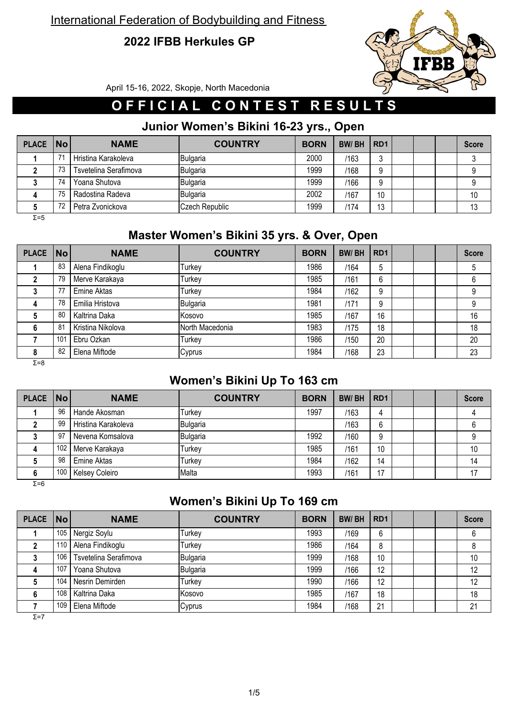## **2022 IFBB Herkules GP**



April 15-16, 2022, Skopje, North Macedonia

# **O F F I C I A L C O N T E S T R E S U L T S**

## **Junior Women's Bikini 16-23 yrs., Open**

| PLACE No |    | <b>NAME</b>           | <b>COUNTRY</b> | <b>BORN</b> | <b>BW/BH</b> | RD <sub>1</sub> |  | <b>Score</b> |
|----------|----|-----------------------|----------------|-------------|--------------|-----------------|--|--------------|
|          | 74 | Hristina Karakoleva   | Bulgaria       | 2000        | /163         | J               |  |              |
|          | 73 | Tsvetelina Serafimova | Bulgaria       | 1999        | /168         | a               |  |              |
|          | 74 | Yoana Shutova         | Bulgaria       | 1999        | /166         | 9               |  |              |
|          | 75 | Radostina Radeva      | Bulgaria       | 2002        | /167         | 10              |  | 10           |
|          | 72 | Petra Zvonickova      | Czech Republic | 1999        | /174         | 13              |  | 13           |

Σ=5

## **Master Women's Bikini 35 yrs. & Over, Open**

| <b>PLACE</b> | <b>No</b> | <b>NAME</b>       | <b>COUNTRY</b>  | <b>BORN</b> | <b>BW/BH</b> | RD <sub>1</sub> |  | <b>Score</b> |
|--------------|-----------|-------------------|-----------------|-------------|--------------|-----------------|--|--------------|
|              | 83        | Alena Findikoglu  | Turkey          | 1986        | /164         | 5               |  | 5            |
|              | 79        | Merve Karakaya    | Turkey          | 1985        | /161         | 6               |  | 6            |
|              | 77        | Emine Aktas       | Turkey          | 1984        | /162         | 9               |  | 9            |
| 4            | 78        | Emilia Hristova   | Bulgaria        | 1981        | /171         | 9               |  | 9            |
| 5            | 80        | Kaltrina Daka     | Kosovo          | 1985        | /167         | 16              |  | 16           |
| 6            | 81        | Kristina Nikolova | North Macedonia | 1983        | /175         | 18              |  | 18           |
|              | 101       | Ebru Ozkan        | Turkey          | 1986        | /150         | 20              |  | 20           |
| 8            | 82        | Elena Miftode     | Cyprus          | 1984        | /168         | 23              |  | 23           |
| $\Sigma = 8$ |           |                   |                 |             |              |                 |  |              |

## **Women's Bikini Up To 163 cm**

| PLACE No |     | <b>NAME</b>         | <b>COUNTRY</b> | <b>BORN</b> | <b>BW/BH</b> | RD <sub>1</sub> |  | <b>Score</b> |
|----------|-----|---------------------|----------------|-------------|--------------|-----------------|--|--------------|
|          | 96  | Hande Akosman       | Turkey         | 1997        | /163         | Д               |  |              |
|          | 99  | Hristina Karakoleva | Bulgaria       |             | /163         | 6               |  |              |
|          | 97  | Nevena Komsalova    | Bulgaria       | 1992        | /160         | 9               |  | 9            |
|          | 102 | Merve Karakaya      | Turkey         | 1985        | /161         | 10              |  | 10           |
|          | 98  | <b>Emine Aktas</b>  | Turkey         | 1984        | /162         | 14              |  | 14           |
| 6        | 100 | Kelsey Coleiro      | Malta          | 1993        | /161         | 17              |  |              |

Σ=6

## **Women's Bikini Up To 169 cm**

| PLACE No |     | <b>NAME</b>           | <b>COUNTRY</b>  | <b>BORN</b> | <b>BW/BH</b> | RD <sub>1</sub> |  | <b>Score</b> |
|----------|-----|-----------------------|-----------------|-------------|--------------|-----------------|--|--------------|
|          | 105 | Nergiz Soylu          | Turkey          | 1993        | /169         | 6               |  | 6            |
|          | 110 | Alena Findikoglu      | Turkev          | 1986        | /164         | 8               |  | 8            |
|          | 106 | Tsvetelina Serafimova | <b>Bulgaria</b> | 1999        | /168         | 10              |  | 10           |
| 4        | 107 | Yoana Shutova         | Bulgaria        | 1999        | /166         | 12              |  | 12           |
|          | 104 | Nesrin Demirden       | Turkev          | 1990        | /166         | 12              |  | 12           |
| 6        | 108 | Kaltrina Daka         | Kosovo          | 1985        | /167         | 18              |  | 18           |
|          | 109 | Elena Miftode         | Cyprus          | 1984        | /168         | 21              |  | 21           |

Σ=7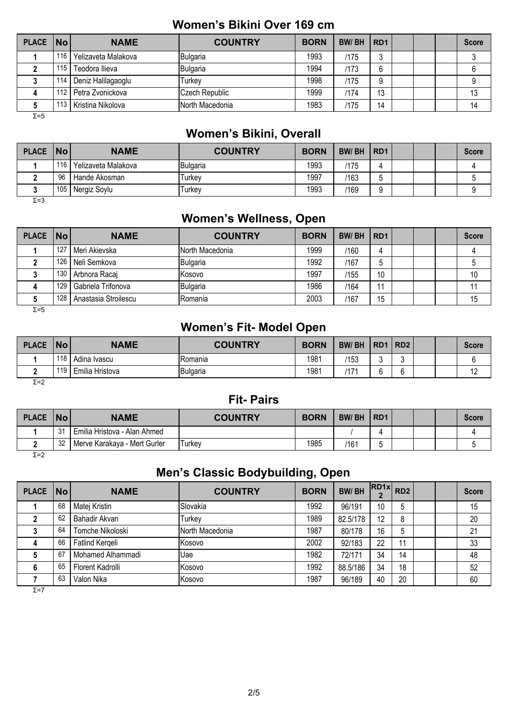## **Women's Bikini Over 169 cm**

| PLACE   No   |     | <b>NAME</b>         | <b>COUNTRY</b>  | <b>BORN</b> | <b>BW/BH</b> | R <sub>D</sub> 1 |  | <b>Score</b> |
|--------------|-----|---------------------|-----------------|-------------|--------------|------------------|--|--------------|
|              | 116 | Yelizaveta Malakova | Bulgaria        | 1993        | /175         | о<br>J           |  |              |
|              | 115 | Teodora Ilieva      | Bulgaria        | 1994        | /173         | 6                |  |              |
|              | 114 | Deniz Halilagaoglu  | Turkev          | 1998        | /175         | 9                |  |              |
|              | 112 | Petra Zvonickova    | Czech Republic  | 1999        | /174         | 13               |  | 13           |
|              |     | Kristina Nikolova   | North Macedonia | 1983        | /175         | 14               |  | 14           |
| $\Sigma = 5$ |     |                     |                 |             |              |                  |  |              |

#### **Women's Bikini, Overall**

| <b>PLACE</b> | <b>No</b> | <b>NAME</b>         | <b>COUNTRY</b> | <b>BORN</b> | <b>BW/BH</b> | R <sub>D</sub> 1 |  | <b>Score</b> |
|--------------|-----------|---------------------|----------------|-------------|--------------|------------------|--|--------------|
|              | 116       | Yelizaveta Malakova | Bulgaria       | 1993        | /175         |                  |  |              |
|              | 96        | Hande Akosman       | Turkev         | 1997        | /163         | m<br>v.          |  |              |
|              | 105       | Nergiz Soylu        | Turkev         | 1993        | /169         | c                |  |              |

Σ=3

## **Women's Wellness, Open**

| PLACE   No |     | <b>NAME</b>          | <b>COUNTRY</b>  | <b>BORN</b> | <b>BW/BH</b> | RD <sub>1</sub> |  | <b>Score</b> |
|------------|-----|----------------------|-----------------|-------------|--------------|-----------------|--|--------------|
|            | 127 | Meri Akievska        | North Macedonia | 1999        | /160         |                 |  |              |
|            | 126 | Neli Semkova         | Bulgaria        | 1992        | /167         |                 |  |              |
|            | 130 | Arbnora Racaj        | <b>IKosovo</b>  | 1997        | /155         | 10              |  | 10           |
| 4          | 129 | Gabriela Trifonova   | Bulgaria        | 1986        | /164         | 11              |  |              |
|            | 128 | Anastasia Stroilescu | Romania         | 2003        | /167         | 15              |  | 15           |

 $\overline{Σ}$ =5

## **Women's Fit- Model Open**

| <b>PLACE</b> | <b>No</b> | <b>NAME</b>     | <b>COUNTRY</b> | <b>BORN</b> | <b>BW/BH</b>   | R <sub>D</sub> <sub>1</sub> | RD <sub>2</sub> |  | <b>Score</b>     |
|--------------|-----------|-----------------|----------------|-------------|----------------|-----------------------------|-----------------|--|------------------|
|              | 118       | Adina Ivascu    | Romania        | 1981        | 153            | ъ.                          |                 |  |                  |
|              | 110       | Emilia Hristova | Bulgaria       | 1981        | $^{\prime}$ 17 |                             |                 |  | $\sqrt{2}$<br>14 |
| $ -$         |           |                 |                |             |                |                             |                 |  |                  |

Σ=2

#### **Fit- Pairs**

| <b>PLACE</b> | No      | <b>NAME</b>                  | <b>COUNTRY</b> | <b>BORN</b> | <b>BW/BH</b> | l RD1 |  | Score |
|--------------|---------|------------------------------|----------------|-------------|--------------|-------|--|-------|
|              | 31<br>ັ | Emilia Hristova - Alan Ahmed |                |             |              |       |  |       |
|              | 32      | Merve Karakaya - Mert Gurler | Turkev         | 1985        | /161         |       |  |       |
| $\Sigma = 2$ |         |                              |                |             |              |       |  |       |

## **Men's Classic Bodybuilding, Open**

| <b>PLACE</b> | No | <b>NAME</b>       | <b>COUNTRY</b>  | <b>BORN</b> | <b>BW/BH</b> | RD1x | RD <sub>2</sub> |  | <b>Score</b> |
|--------------|----|-------------------|-----------------|-------------|--------------|------|-----------------|--|--------------|
|              | 68 | Matej Kristin     | Slovakia        | 1992        | 96/191       | 10   | 5               |  | 15           |
|              | 62 | Bahadir Akvan     | Turkey          | 1989        | 82.5/178     | 12   | 8               |  | 20           |
|              | 64 | Tomche Nikoloski  | North Macedonia | 1987        | 80/178       | 16   | 5               |  | 21           |
| 4            | 66 | Fatlind Kergeli   | Kosovo          | 2002        | 92/183       | 22   | 11              |  | 33           |
| 5            | 67 | Mohamed Alhammadi | Uae             | 1982        | 72/171       | 34   | 14              |  | 48           |
| 6            | 65 | Florent Kadrolli  | Kosovo          | 1992        | 88.5/186     | 34   | 18              |  | 52           |
|              | 63 | Valon Nika        | Kosovo          | 1987        | 96/189       | 40   | 20              |  | 60           |
| Σ=7          |    |                   |                 |             |              |      |                 |  |              |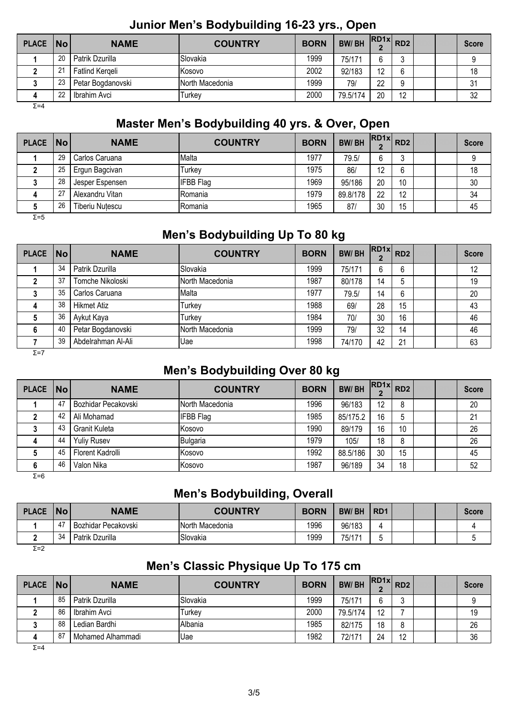## **Junior Men's Bodybuilding 16-23 yrs., Open**

| <b>PLACE</b> | $\overline{\mathsf{No}}$ | <b>NAME</b>       | <b>COUNTRY</b>   | <b>BORN</b> | <b>BW/BH</b> | $\frac{1}{2}$ RD1x RD2 |    |  | <b>Score</b> |
|--------------|--------------------------|-------------------|------------------|-------------|--------------|------------------------|----|--|--------------|
|              | 20                       | Patrik Dzurilla   | ISlovakia        | 1999        | 75/171       | 6                      |    |  |              |
|              | $\Omega$<br>L            | Fatlind Kergeli   | Kosovo           | 2002        | 92/183       | 12                     | 6  |  | 18           |
|              | 23                       | Petar Bogdanovski | INorth Macedonia | 1999        | 79           | 22                     | 9  |  | 31           |
| 4            | າາ                       | Ibrahim Avci      | Turkev           | 2000        | 79.5/174     | 20                     | 10 |  | 32           |

 $Σ=4$ 

## **Master Men's Bodybuilding 40 yrs. & Over, Open**

| <b>PLACE</b> | $\overline{\mathsf{No}}$ | <b>NAME</b>            | <b>COUNTRY</b>   | <b>BORN</b> | <b>BW/BH</b> | $ RD1x $ $RD2$ |    |  | <b>Score</b> |
|--------------|--------------------------|------------------------|------------------|-------------|--------------|----------------|----|--|--------------|
|              | 29                       | Carlos Caruana         | Malta            | 1977        | 79.5/        | 6              | ◠  |  |              |
|              | 25                       | Ergun Bagcivan         | Turkev           | 1975        | 86           | 12             | 6  |  | 18           |
|              | 28                       | Jesper Espensen        | <b>IFBB</b> Flag | 1969        | 95/186       | 20             | 10 |  | 30           |
| 4            | - 27                     | Alexandru Vitan        | Romania          | 1979        | 89.8/178     | 22             | 12 |  | 34           |
|              | 26                       | <b>Tiberiu Nutescu</b> | Romania          | 1965        | 87           | 30             | 15 |  | 45           |

Σ=5

## **Men's Bodybuilding Up To 80 kg**

| PLACE No     |    | <b>NAME</b>        | <b>COUNTRY</b>  | <b>BORN</b> | <b>BW/BH</b> | $\left $ RD1x RD2 |    |  | <b>Score</b> |
|--------------|----|--------------------|-----------------|-------------|--------------|-------------------|----|--|--------------|
|              | 34 | Patrik Dzurilla    | Slovakia        | 1999        | 75/171       | 6                 | 6  |  | 12           |
|              | 37 | Tomche Nikoloski   | North Macedonia | 1987        | 80/178       | 14                | 5  |  | 19           |
|              | 35 | Carlos Caruana     | Malta           | 1977        | 79.5/        | 14                | 6  |  | 20           |
| 4            | 38 | <b>Hikmet Atiz</b> | Turkey          | 1988        | 69/          | 28                | 15 |  | 43           |
| 5            | 36 | Aykut Kaya         | Turkey          | 1984        | 70/          | 30                | 16 |  | 46           |
| 6            | 40 | Petar Bogdanovski  | North Macedonia | 1999        | 79/          | 32                | 14 |  | 46           |
|              | 39 | Abdelrahman Al-Ali | <b>Uae</b>      | 1998        | 74/170       | 42                | 21 |  | 63           |
| $\Sigma = 7$ |    |                    |                 |             |              |                   |    |  |              |

## **Men's Bodybuilding Over 80 kg**

| <b>PLACE</b> | No | <b>NAME</b>         | <b>COUNTRY</b>   | <b>BORN</b> | <b>BW/BH</b> | $\cdot$ RD1x RD2 |    |  | <b>Score</b> |
|--------------|----|---------------------|------------------|-------------|--------------|------------------|----|--|--------------|
|              | 47 | Bozhidar Pecakovski | North Macedonia  | 1996        | 96/183       | 12               | 8  |  | 20           |
|              | 42 | Ali Mohamad         | <b>IFBB</b> Flag | 1985        | 85/175.2     | 16               | 5  |  | 21           |
|              | 43 | Granit Kuleta       | Kosovo           | 1990        | 89/179       | 16               | 10 |  | 26           |
|              | 44 | <b>Yuliy Rusev</b>  | Bulgaria         | 1979        | 105/         | 18               | 8  |  | 26           |
|              | 45 | Florent Kadrolli    | Kosovo           | 1992        | 88.5/186     | 30               | 15 |  | 45           |
| 6            | 46 | Valon Nika          | Kosovo           | 1987        | 96/189       | 34               | 18 |  | 52           |
| - -          |    |                     |                  |             |              |                  |    |  |              |

Σ=6

## **Men's Bodybuilding, Overall**

|                                                          |  | <b>Score</b> |
|----------------------------------------------------------|--|--------------|
| 1996<br>Bozhidar Pecakovski<br>96/183<br>North Macedonia |  |              |
| 1999<br>34<br>Slovakia<br>Patrik Dzurilla<br>75/171      |  |              |

Σ=2

## **Men's Classic Physique Up To 175 cm**

| <b>PLACE</b> | $\overline{\mathsf{No}}$ | <b>NAME</b>       | <b>COUNTRY</b>  | <b>BORN</b> | <b>BW/BH</b> | $R\text{D1x}$ $R\text{D2}$ |    |  | <b>Score</b> |
|--------------|--------------------------|-------------------|-----------------|-------------|--------------|----------------------------|----|--|--------------|
|              | 85                       | Patrik Dzurilla   | <b>Slovakia</b> | 1999        | 75/171       | ⌒<br>b                     |    |  |              |
|              | 86                       | Ibrahim Avci      | Turkev          | 2000        | 79.5/174     | 12                         |    |  | 19           |
|              | 88                       | Ledian Bardhi     | Albania         | 1985        | 82/175       | 18                         | 8  |  | 26           |
|              | 87                       | Mohamed Alhammadi | Uae             | 1982        | 72/171       | 24                         | 12 |  | 36           |

Σ=4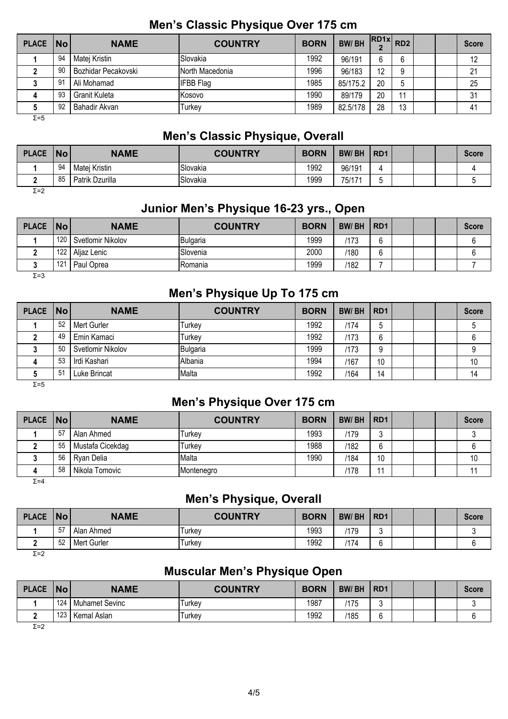| <b>PLACE</b> | No | <b>NAME</b>         | <b>COUNTRY</b>   | <b>BORN</b> | <b>BW/BH</b> | $\cdot$ RD1x RD2 |    |  | <b>Score</b> |
|--------------|----|---------------------|------------------|-------------|--------------|------------------|----|--|--------------|
|              | 94 | Matej Kristin       | Slovakia         | 1992        | 96/191       | 6                | 6  |  | 12           |
|              | 90 | Bozhidar Pecakovski | North Macedonia  | 1996        | 96/183       | 12               |    |  | 21           |
|              | 91 | Ali Mohamad         | <b>IFBB Flag</b> | 1985        | 85/175.2     | 20               | 5  |  | 25           |
|              | 93 | Granit Kuleta       | Kosovo           | 1990        | 89/179       | 20               | 11 |  | 31           |
|              | 92 | Bahadir Akvan       | Turkey           | 1989        | 82.5/178     | 28               | 13 |  | 41           |
| $\Sigma = 5$ |    |                     |                  |             |              |                  |    |  |              |

## **Men's Classic Physique Over 175 cm**

## **Men's Classic Physique, Overall**

| <b>PLACE</b> | <b>No</b> | <b>NAME</b>     | <b>COUNTRY</b> | <b>BORN</b> | <b>BW/BH</b> | R <sub>D</sub> 1 |  | <b>Score</b> |
|--------------|-----------|-----------------|----------------|-------------|--------------|------------------|--|--------------|
|              | 94        | Matej Kristin   | Slovakia       | 1992        | 96/191       |                  |  |              |
|              | 85        | Patrik Dzurilla | Slovakia       | 1999        | 75/171       | ъ.               |  |              |

Σ=2

#### **Junior Men's Physique 16-23 yrs., Open**

| <b>PLACE</b> | <b>No</b> | <b>NAME</b>       | <b>COUNTRY</b> | <b>BORN</b> | <b>BW/BH</b> | RD <sub>1</sub> |  | <b>Score</b> |
|--------------|-----------|-------------------|----------------|-------------|--------------|-----------------|--|--------------|
|              | 120       | Svetlomir Nikolov | Bulgaria       | 1999        | 173          | $\sim$          |  |              |
|              | 122       | Aljaz Lenic       | Slovenia       | 2000        | /180         | ⌒               |  |              |
|              | 121       | Paul Oprea        | Romania        | 1999        | /182         |                 |  |              |

Σ=3

## **Men's Physique Up To 175 cm**

| PLACE   No |    | <b>NAME</b>       | <b>COUNTRY</b> | <b>BORN</b> | <b>BW/BH</b> | RD <sub>1</sub> |  | <b>Score</b> |
|------------|----|-------------------|----------------|-------------|--------------|-----------------|--|--------------|
|            | 52 | Mert Gurler       | Turkey         | 1992        | /174         | đ               |  |              |
|            | 49 | Emin Kamaci       | Turkey         | 1992        | /173         | 6               |  |              |
|            | 50 | Svetlomir Nikolov | Bulgaria       | 1999        | /173         | 9               |  |              |
|            | 53 | Irdi Kashari      | Albania        | 1994        | /167         | 10              |  | 10           |
|            | 51 | Luke Brincat      | Malta          | 1992        | /164         | 14              |  | 14           |

 $Σ=5$ 

#### **Men's Physique Over 175 cm**

| PLACE   No |    | <b>NAME</b>      | <b>COUNTRY</b> | <b>BORN</b> | <b>BW/BH</b> | RD <sub>1</sub> |  | <b>Score</b> |
|------------|----|------------------|----------------|-------------|--------------|-----------------|--|--------------|
|            | 57 | Alan Ahmed       | Turkev         | 1993        | /179         | J               |  |              |
|            | 55 | Mustafa Cicekdag | Turkev         | 1988        | /182         | 6               |  |              |
|            | 56 | Ryan Delia       | Malta          | 1990        | /184         | 10              |  | 10           |
|            | 58 | Nikola Tomovic   | Montenegro     |             | /178         | 11              |  |              |

 $\overline{Σ}$ =4

#### **Men's Physique, Overall**

| <b>PLACE</b> | No        | <b>NAME</b> | <b>COUNTRY</b> | <b>BORN</b> | <b>BW/BH</b> | R <sub>D</sub> 1 |  | Score |
|--------------|-----------|-------------|----------------|-------------|--------------|------------------|--|-------|
|              | $-$<br>b. | Alan Ahmed  | Turkev         | 1993        | '179         |                  |  |       |
|              | 52        | Mert Gurler | Turkev         | 1992        | '174         |                  |  |       |
| $ -$         |           |             |                |             |              |                  |  |       |

Σ=2

## **Muscular Men's Physique Open**

| <b>PLACE</b> | <b>No</b> | <b>NAME</b>           | <b>COUNTRY</b> | <b>BORN</b> | <b>BW/BH</b> | R <sub>D</sub> 1 |  | <b>Score</b> |
|--------------|-----------|-----------------------|----------------|-------------|--------------|------------------|--|--------------|
|              | 124       | <b>Muhamet Sevinc</b> | Turkey         | 1987        | /175         |                  |  |              |
|              | 123       | Kemal Aslan           | Turkey         | 1992        | /185         | h                |  |              |
| $\Sigma = 2$ |           |                       |                |             |              |                  |  |              |